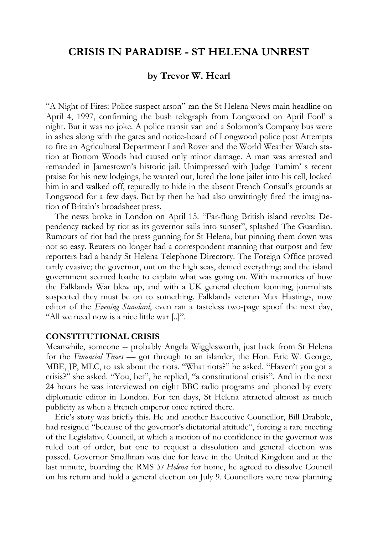# **CRISIS IN PARADISE - ST HELENA UNREST**

## **by Trevor W. Hearl**

"A Night of Fires: Police suspect arson" ran the St Helena News main headline on April 4, 1997, confirming the bush telegraph from Longwood on April Fool' s night. But it was no joke. A police transit van and a Solomon's Company bus were in ashes along with the gates and notice-board of Longwood police post Attempts to fire an Agricultural Department Land Rover and the World Weather Watch station at Bottom Woods had caused only minor damage. A man was arrested and remanded in Jamestown's historic jail. Unimpressed with Judge Tumim' s recent praise for his new lodgings, he wanted out, lured the lone jailer into his cell, locked him in and walked off, reputedly to hide in the absent French Consul's grounds at Longwood for a few days. But by then he had also unwittingly fired the imagination of Britain's broadsheet press.

The news broke in London on April 15. "Far-flung British island revolts: Dependency racked by riot as its governor sails into sunset", splashed The Guardian. Rumours of riot had the press gunning for St Helena, but pinning them down was not so easy. Reuters no longer had a correspondent manning that outpost and few reporters had a handy St Helena Telephone Directory. The Foreign Office proved tartly evasive; the governor, out on the high seas, denied everything; and the island government seemed loathe to explain what was going on. With memories of how the Falklands War blew up, and with a UK general election looming, journalists suspected they must be on to something. Falklands veteran Max Hastings, now editor of the *Evening Standard*, even ran a tasteless two-page spoof the next day, "All we need now is a nice little war [..]".

#### **CONSTITUTIONAL CRISIS**

Meanwhile, someone -- probably Angela Wigglesworth, just back from St Helena for the *Financial Times* — got through to an islander, the Hon. Eric W. George, MBE, JP, MLC, to ask about the riots. "What riots?" he asked. "Haven't you got a crisis?" she asked. "You, bet", he replied, "a constitutional crisis". And in the next 24 hours he was interviewed on eight BBC radio programs and phoned by every diplomatic editor in London. For ten days, St Helena attracted almost as much publicity as when a French emperor once retired there.

Eric's story was briefly this. He and another Executive Councillor, Bill Drabble, had resigned "because of the governor's dictatorial attitude", forcing a rare meeting of the Legislative Council, at which a motion of no confidence in the governor was ruled out of order, but one to request a dissolution and general election was passed. Governor Smallman was due for leave in the United Kingdom and at the last minute, boarding the RMS *St Helena* for home, he agreed to dissolve Council on his return and hold a general election on July 9. Councillors were now planning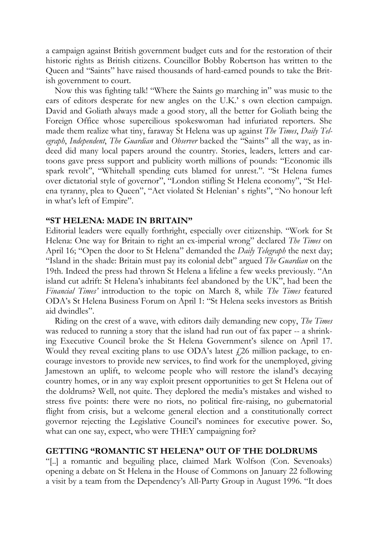a campaign against British government budget cuts and for the restoration of their historic rights as British citizens. Councillor Bobby Robertson has written to the Queen and "Saints" have raised thousands of hard-earned pounds to take the British government to court.

Now this was fighting talk! "Where the Saints go marching in" was music to the ears of editors desperate for new angles on the U.K.' s own election campaign. David and Goliath always made a good story, all the better for Goliath being the Foreign Office whose supercilious spokeswoman had infuriated reporters. She made them realize what tiny, faraway St Helena was up against *The Times*, *Daily Telegraph*, *Independent*, *The Guardian* and *Observer* backed the "Saints" all the way, as indeed did many local papers around the country. Stories, leaders, letters and cartoons gave press support and publicity worth millions of pounds: "Economic ills spark revolt", "Whitehall spending cuts blamed for unrest.". "St Helena fumes over dictatorial style of governor", "London stifling St Helena economy", "St Helena tyranny, plea to Queen", "Act violated St Helenian' s rights", "No honour left in what's left of Empire".

#### **"ST HELENA: MADE IN BRITAIN"**

Editorial leaders were equally forthright, especially over citizenship. "Work for St Helena: One way for Britain to right an ex-imperial wrong" declared *The Times* on April 16; "Open the door to St Helena" demanded the *Daily Telegraph* the next day; "Island in the shade: Britain must pay its colonial debt" argued *The Guardian* on the 19th. Indeed the press had thrown St Helena a lifeline a few weeks previously. "An island cut adrift: St Helena's inhabitants feel abandoned by the UK", had been the *Financial Times'* introduction to the topic on March 8, while *The Times* featured ODA's St Helena Business Forum on April 1: "St Helena seeks investors as British aid dwindles".

Riding on the crest of a wave, with editors daily demanding new copy, *The Times* was reduced to running a story that the island had run out of fax paper -- a shrinking Executive Council broke the St Helena Government's silence on April 17. Would they reveal exciting plans to use ODA's latest  $\ell$ 26 million package, to encourage investors to provide new services, to find work for the unemployed, giving Jamestown an uplift, to welcome people who will restore the island's decaying country homes, or in any way exploit present opportunities to get St Helena out of the doldrums? Well, not quite. They deplored the media's mistakes and wished to stress five points: there were no riots, no political fire-raising, no gubernatorial flight from crisis, but a welcome general election and a constitutionally correct governor rejecting the Legislative Council's nominees for executive power. So, what can one say, expect, who were THEY campaigning for?

#### **GETTING "ROMANTIC ST HELENA" OUT OF THE DOLDRUMS**

"[..] a romantic and beguiling place, claimed Mark Wolfson (Con. Sevenoaks) opening a debate on St Helena in the House of Commons on January 22 following a visit by a team from the Dependency's All-Party Group in August 1996. "It does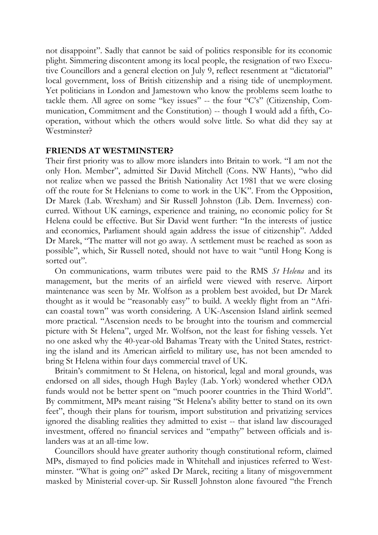not disappoint". Sadly that cannot be said of politics responsible for its economic plight. Simmering discontent among its local people, the resignation of two Executive Councillors and a general election on July 9, reflect resentment at "dictatorial" local government, loss of British citizenship and a rising tide of unemployment. Yet politicians in London and Jamestown who know the problems seem loathe to tackle them. All agree on some "key issues" -- the four "C's" (Citizenship, Communication, Commitment and the Constitution) -- though I would add a fifth, Cooperation, without which the others would solve little. So what did they say at Westminster?

#### **FRIENDS AT WESTMINSTER?**

Their first priority was to allow more islanders into Britain to work. "I am not the only Hon. Member", admitted Sir David Mitchell (Cons. NW Hants), "who did not realize when we passed the British Nationality Act 1981 that we were closing off the route for St Helenians to come to work in the UK". From the Opposition, Dr Marek (Lab. Wrexham) and Sir Russell Johnston (Lib. Dem. Inverness) concurred. Without UK earnings, experience and training, no economic policy for St Helena could be effective. But Sir David went further: "In the interests of justice and economics, Parliament should again address the issue of citizenship". Added Dr Marek, "The matter will not go away. A settlement must be reached as soon as possible", which, Sir Russell noted, should not have to wait "until Hong Kong is sorted out".

On communications, warm tributes were paid to the RMS *St Helena* and its management, but the merits of an airfield were viewed with reserve. Airport maintenance was seen by Mr. Wolfson as a problem best avoided, but Dr Marek thought as it would be "reasonably easy" to build. A weekly flight from an "African coastal town" was worth considering. A UK-Ascension Island airlink seemed more practical. "Ascension needs to be brought into the tourism and commercial picture with St Helena", urged Mr. Wolfson, not the least for fishing vessels. Yet no one asked why the 40-year-old Bahamas Treaty with the United States, restricting the island and its American airfield to military use, has not been amended to bring St Helena within four days commercial travel of UK.

Britain's commitment to St Helena, on historical, legal and moral grounds, was endorsed on all sides, though Hugh Bayley (Lab. York) wondered whether ODA funds would not be better spent on "much poorer countries in the Third World". By commitment, MPs meant raising "St Helena's ability better to stand on its own feet", though their plans for tourism, import substitution and privatizing services ignored the disabling realities they admitted to exist -- that island law discouraged investment, offered no financial services and "empathy" between officials and islanders was at an all-time low.

Councillors should have greater authority though constitutional reform, claimed MPs, dismayed to find policies made in Whitehall and injustices referred to Westminster. "What is going on?" asked Dr Marek, reciting a litany of misgovernment masked by Ministerial cover-up. Sir Russell Johnston alone favoured "the French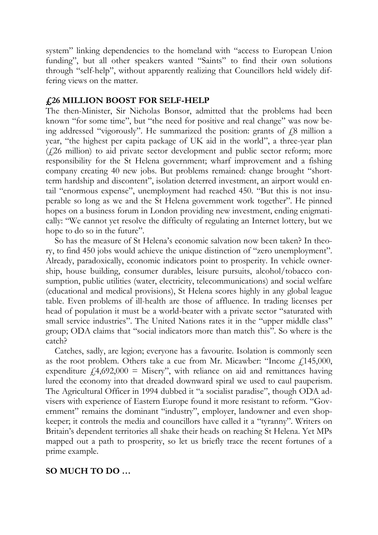system" linking dependencies to the homeland with "access to European Union funding", but all other speakers wanted "Saints" to find their own solutions through "self-help", without apparently realizing that Councillors held widely differing views on the matter.

#### **£26 MILLION BOOST FOR SELF-HELP**

The then-Minister, Sir Nicholas Bonsor, admitted that the problems had been known "for some time", but "the need for positive and real change" was now being addressed "vigorously". He summarized the position: grants of  $\ell$ 8 million a year, "the highest per capita package of UK aid in the world", a three-year plan  $(1,26)$  million) to aid private sector development and public sector reform; more responsibility for the St Helena government; wharf improvement and a fishing company creating 40 new jobs. But problems remained: change brought "shortterm hardship and discontent", isolation deterred investment, an airport would entail "enormous expense", unemployment had reached 450. "But this is not insuperable so long as we and the St Helena government work together". He pinned hopes on a business forum in London providing new investment, ending enigmatically: "We cannot yet resolve the difficulty of regulating an Internet lottery, but we hope to do so in the future".

So has the measure of St Helena's economic salvation now been taken? In theory, to find 450 jobs would achieve the unique distinction of "zero unemployment". Already, paradoxically, economic indicators point to prosperity. In vehicle ownership, house building, consumer durables, leisure pursuits, alcohol/tobacco consumption, public utilities (water, electricity, telecommunications) and social welfare (educational and medical provisions), St Helena scores highly in any global league table. Even problems of ill-health are those of affluence. In trading licenses per head of population it must be a world-beater with a private sector "saturated with small service industries". The United Nations rates it in the "upper middle class" group; ODA claims that "social indicators more than match this". So where is the catch?

Catches, sadly, are legion; everyone has a favourite. Isolation is commonly seen as the root problem. Others take a cue from Mr. Micawber: "Income  $f$  145,000, expenditure  $f(4,692,000) =$  Misery", with reliance on aid and remittances having lured the economy into that dreaded downward spiral we used to caul pauperism. The Agricultural Officer in 1994 dubbed it "a socialist paradise", though ODA advisers with experience of Eastern Europe found it more resistant to reform. "Government" remains the dominant "industry", employer, landowner and even shopkeeper; it controls the media and councillors have called it a "tyranny". Writers on Britain's dependent territories all shake their heads on reaching St Helena. Yet MPs mapped out a path to prosperity, so let us briefly trace the recent fortunes of a prime example.

## **SO MUCH TO DO …**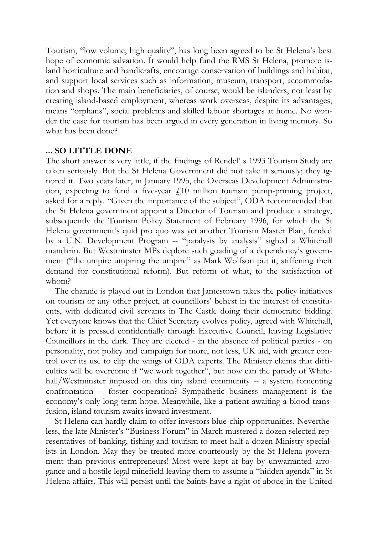Tourism, "low volume, high quality", has long been agreed to be St Helena's best hope of economic salvation. It would help fund the RMS St Helena, promote island horticulture and handicrafts, encourage conservation of buildings and habitat, and support local services such as information, museum, transport, accommodation and shops. The main beneficiaries, of course, would be islanders, not least by creating island-based employment, whereas work overseas, despite its advantages, means "orphans", social problems and skilled labour shortages at home. No wonder the case for tourism has been argued in every generation in living memory. So what has been done?

#### **... SO LITTLE DONE**

The short answer is very little, if the findings of Rendel' s 1993 Tourism Study are taken seriously. But the St Helena Government did not take it seriously; they ignored it. Two years later, in January 1995, the Overseas Development Administration, expecting to fund a five-year  $f10$  million tourism pump-priming project, asked for a reply. "Given the importance of the subject", ODA recommended that the St Helena government appoint a Director of Tourism and produce a strategy, subsequently the Tourism Policy Statement of February 1996, for which the St Helena government's quid pro quo was yet another Tourism Master Plan, funded by a U.N. Development Program -- "paralysis by analysis" sighed a Whitehall mandarin. But Westminster MPs deplore such goading of a dependency's government ("the umpire umpiring the umpire" as Mark Wolfson put it, stiffening their demand for constitutional reform). But reform of what, to the satisfaction of whom?

The charade is played out in London that Jamestown takes the policy initiatives on tourism or any other project, at councillors' behest in the interest of constituents, with dedicated civil servants in The Castle doing their democratic bidding. Yet everyone knows that the Chief Secretary evolves policy, agreed with Whitehall, before it is pressed confidentially through Executive Council, leaving Legislative Councillors in the dark. They are elected - in the absence of political parties - on personality, not policy and campaign for more, not less, UK aid, with greater control over its use to clip the wings of ODA experts. The Minister claims that difficulties will be overcome if "we work together", but how can the parody of Whitehall/Westminster imposed on this tiny island community -- a system fomenting confrontation -- foster cooperation? Sympathetic business management is the economy's only long-term hope. Meanwhile, like a patient awaiting a blood transfusion, island tourism awaits inward investment.

St Helena can hardly claim to offer investors blue-chip opportunities. Nevertheless, the late Minister's "Business Forum" in March mustered a dozen selected representatives of banking, fishing and tourism to meet half a dozen Ministry specialists in London. May they be treated more courteously by the St Helena government than previous entrepreneurs! Most were kept at bay by unwarranted arrogance and a hostile legal minefield leaving them to assume a "hidden agenda" in St Helena affairs. This will persist until the Saints have a right of abode in the United